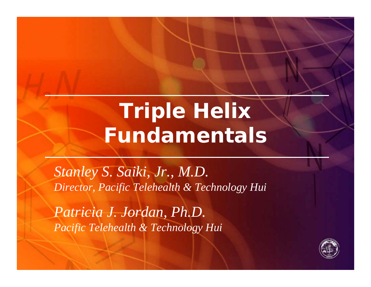# **Triple Helix Fundamentals**

*Stanley S. Saiki, Jr., M.D. Director, Pacific Telehealth & Technology Hui*

*Patricia J. Jordan, Ph.D. Pacific Telehealth & Technology Hui*

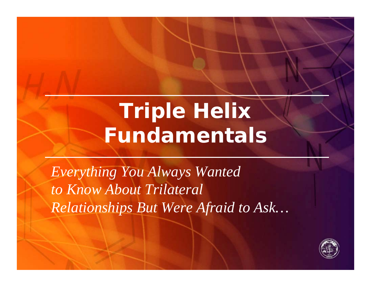# **Triple Helix Fundamentals**

*Everything You Always Wanted to Know About Trilateral Relationships But Were Afraid to Ask…*

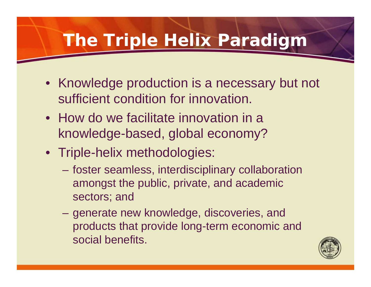## **The Triple Helix Paradigm**

- Knowledge production is a necessary but not sufficient condition for innovation.
- How do we facilitate innovation in a knowledge-based, global economy?
- Triple-helix methodologies:
	- foster seamless, interdisciplinary collaboration amongst the public, private, and academic sectors; and
	- generate new knowledge, discoveries, and products that provide long-term economic and social benefits.

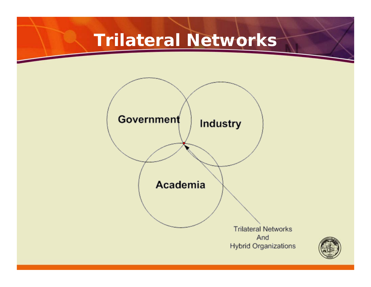#### **Trilateral Networks**



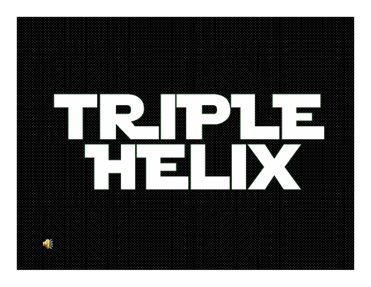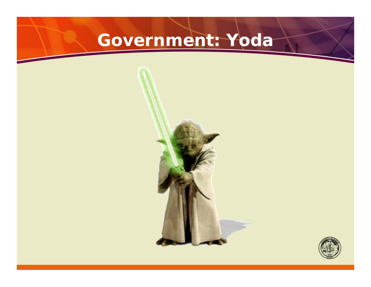# **Government: Yoda**



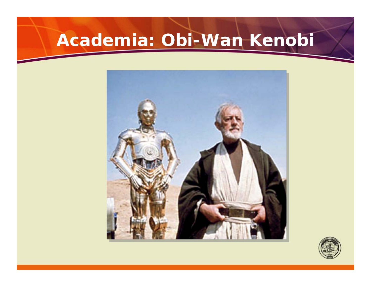# **Academia: Obi-Wan Kenobi**



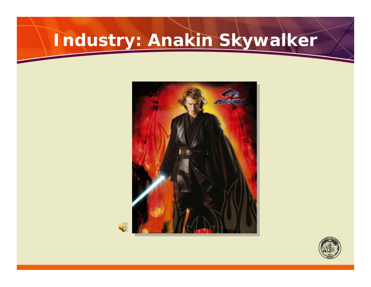# **Industry: Anakin Skywalker**





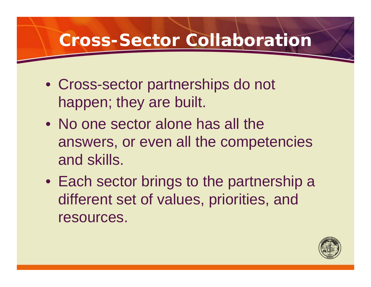#### **Cross-Sector Collaboration**

- Cross-sector partnerships do not happen; they are built.
- No one sector alone has all the answers, or even all the competencies and skills.
- Each sector brings to the partnership a different set of values, priorities, and resources.

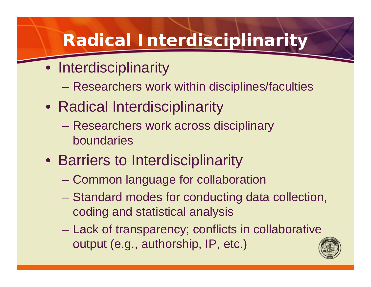## **Radical Interdisciplinarity**

- Interdisciplinarity
	- Researchers work within disciplines/faculties
- Radical Interdisciplinarity
	- Researchers work across disciplinary boundaries
- Barriers to Interdisciplinarity
	- Common language for collaboration
	- Standard modes for conducting data collection, coding and statistical analysis
	- Lack of transparency; conflicts in collaborative output (e.g., authorship, IP, etc.)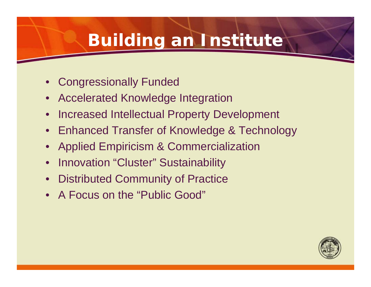## **Building an Institute**

- Congressionally Funded
- Accelerated Knowledge Integration
- Increased Intellectual Property Development
- Enhanced Transfer of Knowledge & Technology
- Applied Empiricism & Commercialization
- Innovation "Cluster" Sustainability
- **Distributed Community of Practice**
- A Focus on the "Public Good"

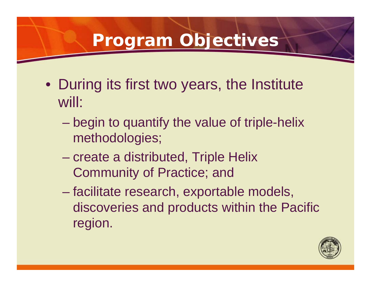#### **Program Objectives**

- During its first two years, the Institute will:
	- begin to quantify the value of triple-helix methodologies;
	- create a distributed, Triple Helix Community of Practice; and
	- facilitate research, exportable models, discoveries and products within the Pacific region.

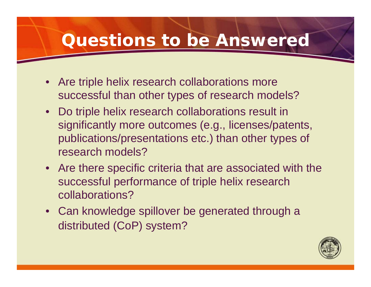#### **Questions to be Answered**

- Are triple helix research collaborations more successful than other types of research models?
- Do triple helix research collaborations result in significantly more outcomes (e.g., licenses/patents, publications/presentations etc.) than other types of research models?
- Are there specific criteria that are associated with the successful performance of triple helix research collaborations?
- Can knowledge spillover be generated through a distributed (CoP) system?

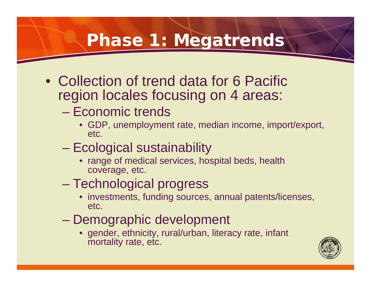#### **Phase 1: Megatrends**

- Collection of trend data for 6 Pacific region locales focusing on 4 areas:
	- Economic trends
		- GDP, unemployment rate, median income, import/export, etc.
	- Ecological sustainability
		- range of medical services, hospital beds, health coverage, etc.
	- Technological progress
		- investments, funding sources, annual patents/licenses, etc.
	- Demographic development
		- gender, ethnicity, rural/urban, literacy rate, infant mortality rate, etc.

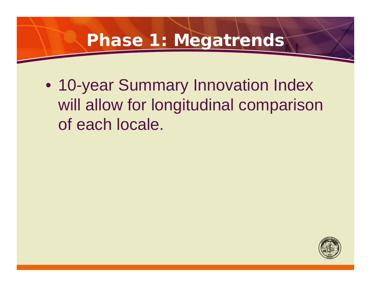#### **Phase 1: Megatrends**

• 10-year Summary Innovation Index will allow for longitudinal comparison of each locale.

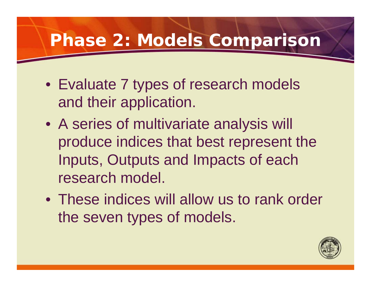#### **Phase 2: Models Comparison**

- Evaluate 7 types of research models and their application.
- A series of multivariate analysis will produce indices that best represent the Inputs, Outputs and Impacts of each research model.
- These indices will allow us to rank order the seven types of models.

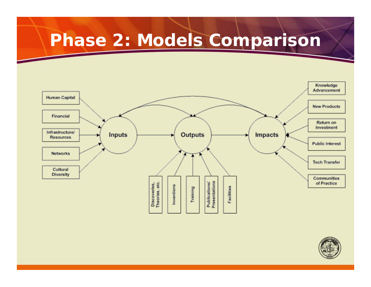#### **Phase 2: Models Comparison**



![](_page_16_Picture_2.jpeg)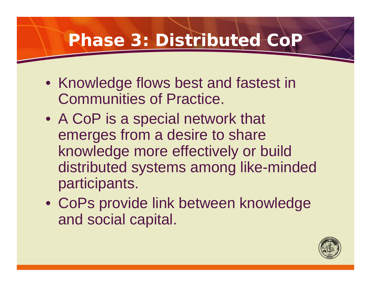#### **Phase 3: Distributed CoF**

- Knowledge flows best and fastest in Communities of Practice.
- A CoP is a special network that emerges from a desire to share knowledge more effectively or build distributed systems among like-minded participants.
- CoPs provide link between knowledge and social capital.

![](_page_17_Picture_4.jpeg)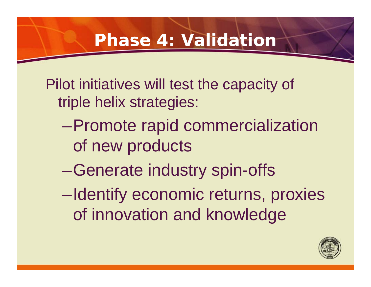#### **Phase 4: Validation**

Pilot initiatives will test the capacity of triple helix strategies:

- –Promote rapid commercialization of new products
- –Generate industry spin-offs
- –Identify economic returns, proxies of innovation and knowledge

![](_page_18_Picture_5.jpeg)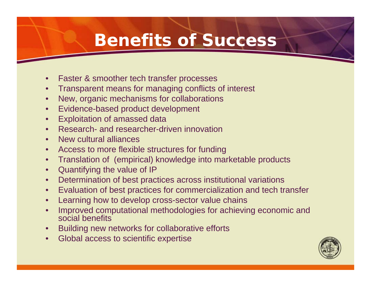#### **Benefits of Success**

- Faster & smoother tech transfer processes
- Transparent means for managing conflicts of interest
- New, organic mechanisms for collaborations
- Evidence-based product development
- Exploitation of amassed data
- Research- and researcher-driven innovation
- New cultural alliances
- Access to more flexible structures for funding
- Translation of (empirical) knowledge into marketable products
- Quantifying the value of IP
- Determination of best practices across institutional variations
- Evaluation of best practices for commercialization and tech transfer
- Learning how to develop cross-sector value chains
- Improved computational methodologies for achieving economic and social benefits
- Building new networks for collaborative efforts
- Global access to scientific expertise

![](_page_19_Picture_17.jpeg)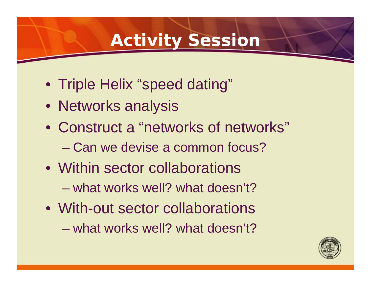#### **Activity Session**

- Triple Helix "speed dating"
- Networks analysis
- Construct a "networks of networks"
	- Can we devise a common focus?
- Within sector collaborations
	- what works well? what doesn't?
- With-out sector collaborations
	- what works well? what doesn't?

![](_page_20_Picture_9.jpeg)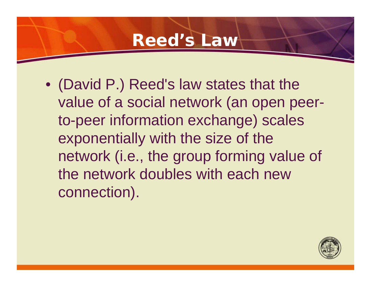#### **Reed's Law**

• (David P.) Reed's law states that the value of a social network (an open peerto-peer information exchange) scales exponentially with the size of the network (i.e., the group forming value of the network doubles with each new connection).

![](_page_21_Picture_2.jpeg)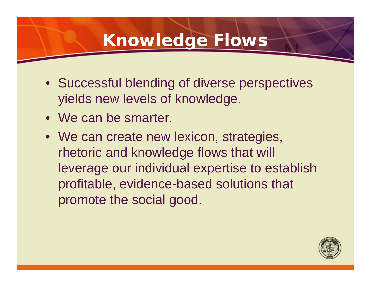#### **Knowledge Flows**

- Successful blending of diverse perspectives yields new levels of knowledge.
- We can be smarter.
- We can create new lexicon, strategies, rhetoric and knowledge flows that will leverage our individual expertise to establish profitable, evidence-based solutions that promote the social good.

![](_page_22_Picture_4.jpeg)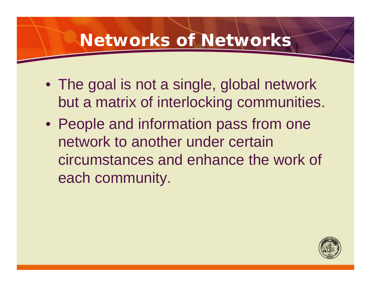#### **Networks of Networks**

- The goal is not a single, global network but a matrix of interlocking communities.
- People and information pass from one network to another under certain circumstances and enhance the work of each community.

![](_page_23_Picture_3.jpeg)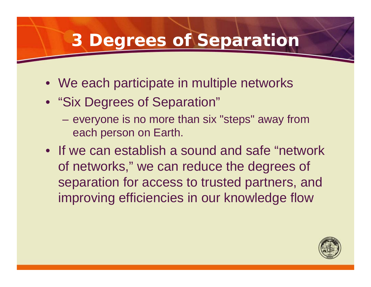#### **3 Degrees of Separation**

- We each participate in multiple networks
- "Six Degrees of Separation"
	- everyone is no more than six "steps" away from each person on Earth.
- If we can establish a sound and safe "network of networks," we can reduce the degrees of separation for access to trusted partners, and improving efficiencies in our knowledge flow

![](_page_24_Picture_5.jpeg)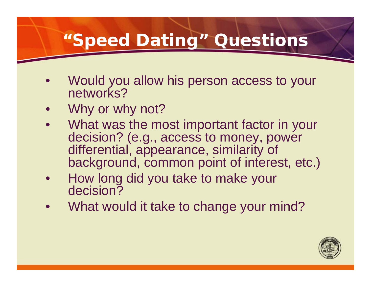#### **"Speed Dating" Questions**

- Would you allow his person access to your networks?
- Why or why not?
- What was the most important factor in your decision? (e.g., access to money, power differential, appearance, similarity of background, common point of interest, etc.)
- How long did you take to make your decision?
- What would it take to change your mind?

![](_page_25_Picture_6.jpeg)